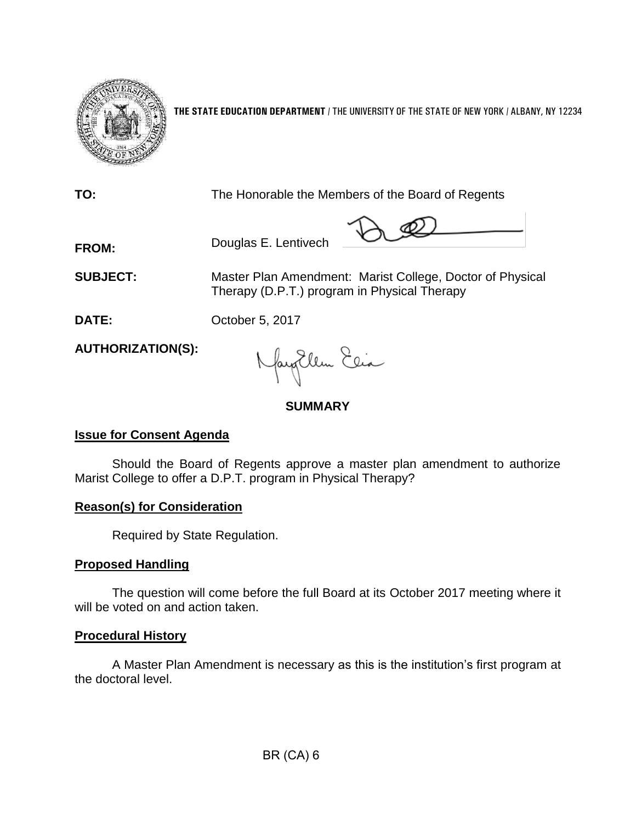

**THE STATE EDUCATION DEPARTMENT** / THE UNIVERSITY OF THE STATE OF NEW YORK / ALBANY, NY 12234

**TO:** The Honorable the Members of the Board of Regents

 $\mathcal{P}\subsetneq \mathcal{P}$ 

**SUBJECT:** Master Plan Amendment: Marist College, Doctor of Physical Therapy (D.P.T.) program in Physical Therapy

**DATE:** October 5, 2017

**FROM:** Douglas E. Lentivech

**AUTHORIZATION(S):**

Naytlem Elia

# **SUMMARY**

## **Issue for Consent Agenda**

Should the Board of Regents approve a master plan amendment to authorize Marist College to offer a D.P.T. program in Physical Therapy?

## **Reason(s) for Consideration**

Required by State Regulation.

## **Proposed Handling**

The question will come before the full Board at its October 2017 meeting where it will be voted on and action taken.

## **Procedural History**

A Master Plan Amendment is necessary as this is the institution's first program at the doctoral level.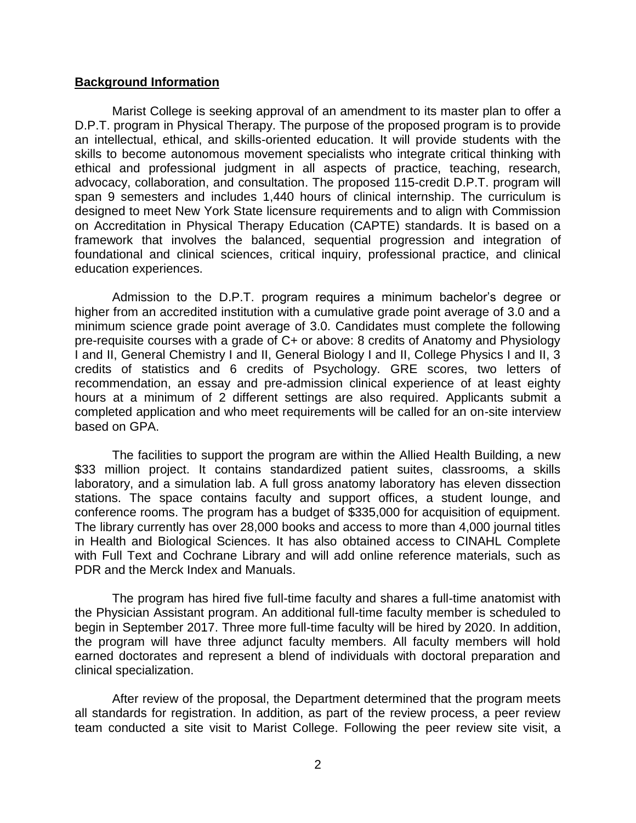#### **Background Information**

Marist College is seeking approval of an amendment to its master plan to offer a D.P.T. program in Physical Therapy. The purpose of the proposed program is to provide an intellectual, ethical, and skills-oriented education. It will provide students with the skills to become autonomous movement specialists who integrate critical thinking with ethical and professional judgment in all aspects of practice, teaching, research, advocacy, collaboration, and consultation. The proposed 115-credit D.P.T. program will span 9 semesters and includes 1,440 hours of clinical internship. The curriculum is designed to meet New York State licensure requirements and to align with Commission on Accreditation in Physical Therapy Education (CAPTE) standards. It is based on a framework that involves the balanced, sequential progression and integration of foundational and clinical sciences, critical inquiry, professional practice, and clinical education experiences.

Admission to the D.P.T. program requires a minimum bachelor's degree or higher from an accredited institution with a cumulative grade point average of 3.0 and a minimum science grade point average of 3.0. Candidates must complete the following pre-requisite courses with a grade of C+ or above: 8 credits of Anatomy and Physiology I and II, General Chemistry I and II, General Biology I and II, College Physics I and II, 3 credits of statistics and 6 credits of Psychology. GRE scores, two letters of recommendation, an essay and pre-admission clinical experience of at least eighty hours at a minimum of 2 different settings are also required. Applicants submit a completed application and who meet requirements will be called for an on-site interview based on GPA.

The facilities to support the program are within the Allied Health Building, a new \$33 million project. It contains standardized patient suites, classrooms, a skills laboratory, and a simulation lab. A full gross anatomy laboratory has eleven dissection stations. The space contains faculty and support offices, a student lounge, and conference rooms. The program has a budget of \$335,000 for acquisition of equipment. The library currently has over 28,000 books and access to more than 4,000 journal titles in Health and Biological Sciences. It has also obtained access to CINAHL Complete with Full Text and Cochrane Library and will add online reference materials, such as PDR and the Merck Index and Manuals.

The program has hired five full-time faculty and shares a full-time anatomist with the Physician Assistant program. An additional full-time faculty member is scheduled to begin in September 2017. Three more full-time faculty will be hired by 2020. In addition, the program will have three adjunct faculty members. All faculty members will hold earned doctorates and represent a blend of individuals with doctoral preparation and clinical specialization.

After review of the proposal, the Department determined that the program meets all standards for registration. In addition, as part of the review process, a peer review team conducted a site visit to Marist College. Following the peer review site visit, a